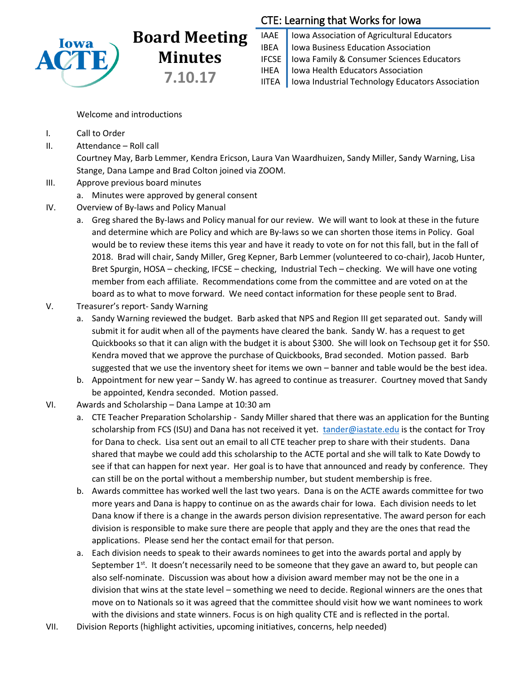

## **Board Meeting Minutes 7.10.17**

## CTE: Learning that Works for Iowa

IAAE | Iowa Association of Agricultural Educators IBEA | Iowa Business Education Association IFCSE Iowa Family & Consumer Sciences Educators IHEA | Iowa Health Educators Association IITEA | Iowa Industrial Technology Educators Association

Welcome and introductions

- I. Call to Order
- II. Attendance Roll call

Courtney May, Barb Lemmer, Kendra Ericson, Laura Van Waardhuizen, Sandy Miller, Sandy Warning, Lisa Stange, Dana Lampe and Brad Colton joined via ZOOM.

- III. Approve previous board minutes
	- a. Minutes were approved by general consent
- IV. Overview of By-laws and Policy Manual
	- a. Greg shared the By-laws and Policy manual for our review. We will want to look at these in the future and determine which are Policy and which are By-laws so we can shorten those items in Policy. Goal would be to review these items this year and have it ready to vote on for not this fall, but in the fall of 2018. Brad will chair, Sandy Miller, Greg Kepner, Barb Lemmer (volunteered to co-chair), Jacob Hunter, Bret Spurgin, HOSA – checking, IFCSE – checking, Industrial Tech – checking. We will have one voting member from each affiliate. Recommendations come from the committee and are voted on at the board as to what to move forward. We need contact information for these people sent to Brad.
- V. Treasurer's report- Sandy Warning
	- a. Sandy Warning reviewed the budget. Barb asked that NPS and Region III get separated out. Sandy will submit it for audit when all of the payments have cleared the bank. Sandy W. has a request to get Quickbooks so that it can align with the budget it is about \$300. She will look on Techsoup get it for \$50. Kendra moved that we approve the purchase of Quickbooks, Brad seconded. Motion passed. Barb suggested that we use the inventory sheet for items we own – banner and table would be the best idea.
	- b. Appointment for new year Sandy W. has agreed to continue as treasurer. Courtney moved that Sandy be appointed, Kendra seconded. Motion passed.
- VI. Awards and Scholarship Dana Lampe at 10:30 am
	- a. CTE Teacher Preparation Scholarship Sandy Miller shared that there was an application for the Bunting scholarship from FCS (ISU) and Dana has not received it yet. [tander@iastate.edu](mailto:tander@iastate.edu) is the contact for Troy for Dana to check. Lisa sent out an email to all CTE teacher prep to share with their students. Dana shared that maybe we could add this scholarship to the ACTE portal and she will talk to Kate Dowdy to see if that can happen for next year. Her goal is to have that announced and ready by conference. They can still be on the portal without a membership number, but student membership is free.
	- b. Awards committee has worked well the last two years. Dana is on the ACTE awards committee for two more years and Dana is happy to continue on as the awards chair for Iowa. Each division needs to let Dana know if there is a change in the awards person division representative. The award person for each division is responsible to make sure there are people that apply and they are the ones that read the applications. Please send her the contact email for that person.
	- a. Each division needs to speak to their awards nominees to get into the awards portal and apply by September  $1^{st}$ . It doesn't necessarily need to be someone that they gave an award to, but people can also self-nominate. Discussion was about how a division award member may not be the one in a division that wins at the state level – something we need to decide. Regional winners are the ones that move on to Nationals so it was agreed that the committee should visit how we want nominees to work with the divisions and state winners. Focus is on high quality CTE and is reflected in the portal.
- VII. Division Reports (highlight activities, upcoming initiatives, concerns, help needed)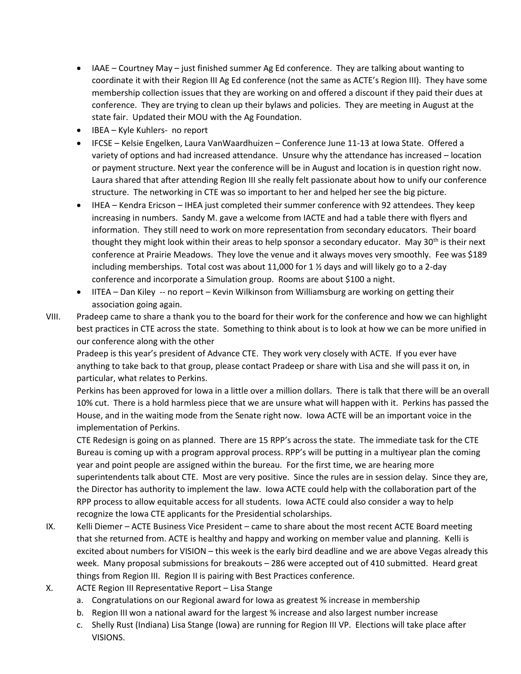- IAAE Courtney May just finished summer Ag Ed conference. They are talking about wanting to coordinate it with their Region III Ag Ed conference (not the same as ACTE's Region III). They have some membership collection issues that they are working on and offered a discount if they paid their dues at conference. They are trying to clean up their bylaws and policies. They are meeting in August at the state fair. Updated their MOU with the Ag Foundation.
- IBEA Kyle Kuhlers- no report
- IFCSE Kelsie Engelken, Laura VanWaardhuizen Conference June 11-13 at Iowa State. Offered a variety of options and had increased attendance. Unsure why the attendance has increased – location or payment structure. Next year the conference will be in August and location is in question right now. Laura shared that after attending Region III she really felt passionate about how to unify our conference structure. The networking in CTE was so important to her and helped her see the big picture.
- IHEA Kendra Ericson IHEA just completed their summer conference with 92 attendees. They keep increasing in numbers. Sandy M. gave a welcome from IACTE and had a table there with flyers and information. They still need to work on more representation from secondary educators. Their board thought they might look within their areas to help sponsor a secondary educator. May 30<sup>th</sup> is their next conference at Prairie Meadows. They love the venue and it always moves very smoothly. Fee was \$189 including memberships. Total cost was about 11,000 for 1  $\frac{1}{2}$  days and will likely go to a 2-day conference and incorporate a Simulation group. Rooms are about \$100 a night.
- IITEA Dan Kiley -- no report Kevin Wilkinson from Williamsburg are working on getting their association going again.
- VIII. Pradeep came to share a thank you to the board for their work for the conference and how we can highlight best practices in CTE across the state. Something to think about is to look at how we can be more unified in our conference along with the other

Pradeep is this year's president of Advance CTE. They work very closely with ACTE. If you ever have anything to take back to that group, please contact Pradeep or share with Lisa and she will pass it on, in particular, what relates to Perkins.

Perkins has been approved for Iowa in a little over a million dollars. There is talk that there will be an overall 10% cut. There is a hold harmless piece that we are unsure what will happen with it. Perkins has passed the House, and in the waiting mode from the Senate right now. Iowa ACTE will be an important voice in the implementation of Perkins.

CTE Redesign is going on as planned. There are 15 RPP's across the state. The immediate task for the CTE Bureau is coming up with a program approval process. RPP's will be putting in a multiyear plan the coming year and point people are assigned within the bureau. For the first time, we are hearing more superintendents talk about CTE. Most are very positive. Since the rules are in session delay. Since they are, the Director has authority to implement the law. Iowa ACTE could help with the collaboration part of the RPP process to allow equitable access for all students. Iowa ACTE could also consider a way to help recognize the Iowa CTE applicants for the Presidential scholarships.

- IX. Kelli Diemer ACTE Business Vice President came to share about the most recent ACTE Board meeting that she returned from. ACTE is healthy and happy and working on member value and planning. Kelli is excited about numbers for VISION – this week is the early bird deadline and we are above Vegas already this week. Many proposal submissions for breakouts – 286 were accepted out of 410 submitted. Heard great things from Region III. Region II is pairing with Best Practices conference.
- X. ACTE Region III Representative Report Lisa Stange
	- a. Congratulations on our Regional award for Iowa as greatest % increase in membership
	- b. Region III won a national award for the largest % increase and also largest number increase
	- c. Shelly Rust (Indiana) Lisa Stange (Iowa) are running for Region III VP. Elections will take place after VISIONS.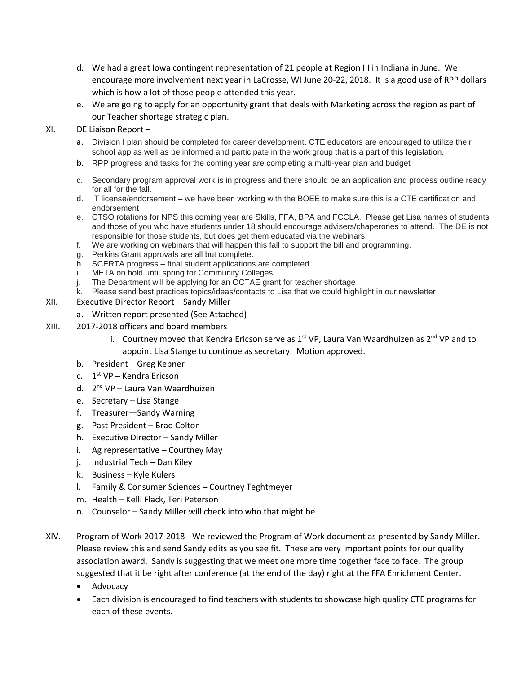- d. We had a great Iowa contingent representation of 21 people at Region III in Indiana in June. We encourage more involvement next year in LaCrosse, WI June 20-22, 2018. It is a good use of RPP dollars which is how a lot of those people attended this year.
- e. We are going to apply for an opportunity grant that deals with Marketing across the region as part of our Teacher shortage strategic plan.
- XI. DE Liaison Report
	- a. Division I plan should be completed for career development. CTE educators are encouraged to utilize their school app as well as be informed and participate in the work group that is a part of this legislation.
	- b. RPP progress and tasks for the coming year are completing a multi-year plan and budget
	- c. Secondary program approval work is in progress and there should be an application and process outline ready for all for the fall.
	- d. IT license/endorsement we have been working with the BOEE to make sure this is a CTE certification and endorsement
	- e. CTSO rotations for NPS this coming year are Skills, FFA, BPA and FCCLA. Please get Lisa names of students and those of you who have students under 18 should encourage advisers/chaperones to attend. The DE is not responsible for those students, but does get them educated via the webinars.
	- f. We are working on webinars that will happen this fall to support the bill and programming.
	- g. Perkins Grant approvals are all but complete.
	- h. SCERTA progress final student applications are completed.
	- i. META on hold until spring for Community Colleges
	- j. The Department will be applying for an OCTAE grant for teacher shortage
	- k. Please send best practices topics/ideas/contacts to Lisa that we could highlight in our newsletter
- XII. Executive Director Report Sandy Miller
	- a. Written report presented (See Attached)
- XIII. 2017-2018 officers and board members
	- i. Courtney moved that Kendra Ericson serve as  $1^{st}$  VP, Laura Van Waardhuizen as  $2^{nd}$  VP and to appoint Lisa Stange to continue as secretary. Motion approved.
	- b. President Greg Kepner
	- c. 1<sup>st</sup> VP Kendra Ericson
	- d. 2<sup>nd</sup> VP Laura Van Waardhuizen
	- e. Secretary Lisa Stange
	- f. Treasurer—Sandy Warning
	- g. Past President Brad Colton
	- h. Executive Director Sandy Miller
	- i. Ag representative Courtney May
	- j. Industrial Tech Dan Kiley
	- k. Business Kyle Kulers
	- l. Family & Consumer Sciences Courtney Teghtmeyer
	- m. Health Kelli Flack, Teri Peterson
	- n. Counselor Sandy Miller will check into who that might be
- XIV. Program of Work 2017-2018 We reviewed the Program of Work document as presented by Sandy Miller. Please review this and send Sandy edits as you see fit. These are very important points for our quality association award. Sandy is suggesting that we meet one more time together face to face. The group suggested that it be right after conference (at the end of the day) right at the FFA Enrichment Center.
	- Advocacy
	- Each division is encouraged to find teachers with students to showcase high quality CTE programs for each of these events.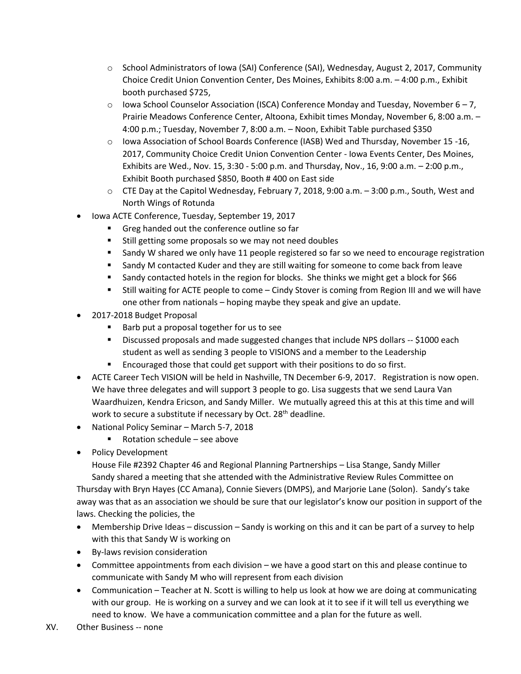- o School Administrators of Iowa (SAI) Conference (SAI), Wednesday, August 2, 2017, Community Choice Credit Union Convention Center, Des Moines, Exhibits 8:00 a.m. – 4:00 p.m., Exhibit booth purchased \$725,
- $\circ$  Iowa School Counselor Association (ISCA) Conference Monday and Tuesday, November 6 7, Prairie Meadows Conference Center, Altoona, Exhibit times Monday, November 6, 8:00 a.m. – 4:00 p.m.; Tuesday, November 7, 8:00 a.m. – Noon, Exhibit Table purchased \$350
- o Iowa Association of School Boards Conference (IASB) Wed and Thursday, November 15 -16, 2017, Community Choice Credit Union Convention Center - Iowa Events Center, Des Moines, Exhibits are Wed., Nov. 15, 3:30 - 5:00 p.m. and Thursday, Nov., 16, 9:00 a.m. – 2:00 p.m., Exhibit Booth purchased \$850, Booth # 400 on East side
- o CTE Day at the Capitol Wednesday, February 7, 2018, 9:00 a.m. 3:00 p.m., South, West and North Wings of Rotunda
- Iowa ACTE Conference, Tuesday, September 19, 2017
	- Greg handed out the conference outline so far
	- **Still getting some proposals so we may not need doubles**
	- **Sandy W shared we only have 11 people registered so far so we need to encourage registration**
	- **Sandy M contacted Kuder and they are still waiting for someone to come back from leave**
	- Sandy contacted hotels in the region for blocks. She thinks we might get a block for \$66
	- Still waiting for ACTE people to come Cindy Stover is coming from Region III and we will have one other from nationals – hoping maybe they speak and give an update.
- 2017-2018 Budget Proposal
	- Barb put a proposal together for us to see
	- Discussed proposals and made suggested changes that include NPS dollars -- \$1000 each student as well as sending 3 people to VISIONS and a member to the Leadership
	- **Encouraged those that could get support with their positions to do so first.**
- ACTE Career Tech VISION will be held in Nashville, TN December 6-9, 2017. Registration is now open. We have three delegates and will support 3 people to go. Lisa suggests that we send Laura Van Waardhuizen, Kendra Ericson, and Sandy Miller. We mutually agreed this at this at this time and will work to secure a substitute if necessary by Oct. 28<sup>th</sup> deadline.
- National Policy Seminar March 5-7, 2018
	- Rotation schedule see above
- Policy Development

House File #2392 Chapter 46 and Regional Planning Partnerships – Lisa Stange, Sandy Miller Sandy shared a meeting that she attended with the Administrative Review Rules Committee on

Thursday with Bryn Hayes (CC Amana), Connie Sievers (DMPS), and Marjorie Lane (Solon). Sandy's take away was that as an association we should be sure that our legislator's know our position in support of the laws. Checking the policies, the

- Membership Drive Ideas discussion Sandy is working on this and it can be part of a survey to help with this that Sandy W is working on
- By-laws revision consideration
- Committee appointments from each division we have a good start on this and please continue to communicate with Sandy M who will represent from each division
- Communication Teacher at N. Scott is willing to help us look at how we are doing at communicating with our group. He is working on a survey and we can look at it to see if it will tell us everything we need to know. We have a communication committee and a plan for the future as well.